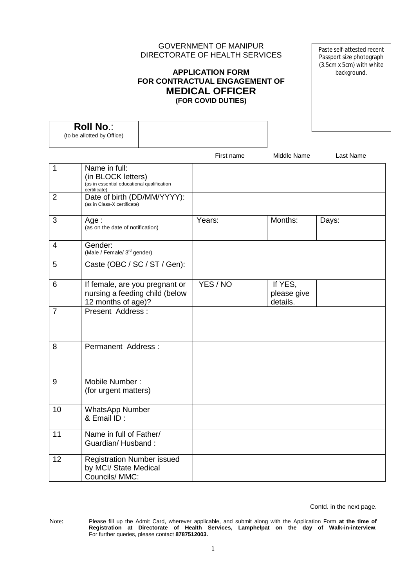# GOVERNMENT OF MANIPUR DIRECTORATE OF HEALTH SERVICES

# **APPLICATION FORM FOR CONTRACTUAL ENGAGEMENT OF MEDICAL OFFICER (FOR COVID DUTIES)**

Paste self-attested recent Passport size photograph (3.5cm x 5cm) with white background.

| <b>Roll No.:</b><br>(to be allotted by Office) |                                                                                                   |  |            |                                    |           |
|------------------------------------------------|---------------------------------------------------------------------------------------------------|--|------------|------------------------------------|-----------|
|                                                |                                                                                                   |  | First name | Middle Name                        | Last Name |
| 1                                              | Name in full:<br>(in BLOCK letters)<br>(as in essential educational qualification<br>certificate) |  |            |                                    |           |
| $\overline{2}$                                 | Date of birth (DD/MM/YYYY):<br>(as in Class-X certificate)                                        |  |            |                                    |           |
| 3                                              | Age:<br>(as on the date of notification)                                                          |  | Years:     | Months:                            | Days:     |
| 4                                              | Gender:<br>(Male / Female/ 3 <sup>rd</sup> gender)                                                |  |            |                                    |           |
| 5                                              | Caste (OBC / SC / ST / Gen):                                                                      |  |            |                                    |           |
| 6                                              | If female, are you pregnant or<br>nursing a feeding child (below<br>12 months of age)?            |  | YES / NO   | If YES,<br>please give<br>details. |           |
| $\overline{7}$                                 | Present Address:                                                                                  |  |            |                                    |           |
| 8                                              | Permanent Address:                                                                                |  |            |                                    |           |
| 9                                              | Mobile Number:<br>(for urgent matters)                                                            |  |            |                                    |           |
| 10                                             | <b>WhatsApp Number</b><br>& Email ID:                                                             |  |            |                                    |           |
| $\overline{11}$                                | Name in full of Father/<br>Guardian/Husband:                                                      |  |            |                                    |           |
| 12                                             | <b>Registration Number issued</b><br>by MCI/ State Medical<br>Councils/ MMC:                      |  |            |                                    |           |

Contd. in the next page.

Note: Please fill up the Admit Card, wherever applicable, and submit along with the Application Form **at the time of Registration at Directorate of Health Services, Lamphelpat on the day of Walk-in-interview**. For further queries, please contact **8787512003.**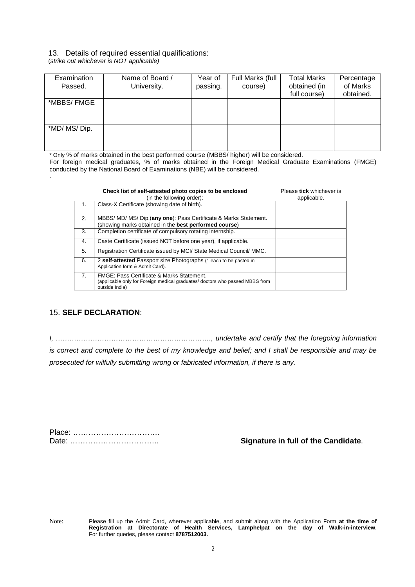#### 13. Details of required essential qualifications:

(*strike out whichever is NOT applicable)*

| Examination<br>Passed. | Name of Board /<br>University. | Year of<br>passing. | Full Marks (full<br>course) | <b>Total Marks</b><br>obtained (in<br>full course) | Percentage<br>of Marks<br>obtained. |
|------------------------|--------------------------------|---------------------|-----------------------------|----------------------------------------------------|-------------------------------------|
| *MBBS/FMGE             |                                |                     |                             |                                                    |                                     |
| *MD/ MS/ Dip.          |                                |                     |                             |                                                    |                                     |

\* Only % of marks obtained in the best performed course (MBBS/ higher) will be considered.

For foreign medical graduates, % of marks obtained in the Foreign Medical Graduate Examinations (FMGE) conducted by the National Board of Examinations (NBE) will be considered. .

|                  | Check list of self-attested photo copies to be enclosed<br>(in the following order):                                                                   | Please tick whichever is<br>applicable. |
|------------------|--------------------------------------------------------------------------------------------------------------------------------------------------------|-----------------------------------------|
| $\overline{1}$ . | Class-X Certificate (showing date of birth).                                                                                                           |                                         |
| 2.               | MBBS/ MD/ MS/ Dip. (any one): Pass Certificate & Marks Statement.<br>(showing marks obtained in the best performed course)                             |                                         |
| 3.               | Completion certificate of compulsory rotating internship.                                                                                              |                                         |
| 4.               | Caste Certificate (issued NOT before one year), if applicable.                                                                                         |                                         |
| 5.               | Registration Certificate issued by MCI/ State Medical Council/ MMC.                                                                                    |                                         |
| 6.               | 2 self-attested Passport size Photographs (1 each to be pasted in<br>Application form & Admit Card).                                                   |                                         |
| 7.               | <b>FMGE: Pass Certificate &amp; Marks Statement.</b><br>(applicable only for Foreign medical graduates/ doctors who passed MBBS from<br>outside India) |                                         |

### 15. **SELF DECLARATION**:

*I, …………………………………………………………., undertake and certify that the foregoing information is correct and complete to the best of my knowledge and belief; and I shall be responsible and may be prosecuted for wilfully submitting wrong or fabricated information, if there is any.*

| Place: |  |
|--------|--|
|        |  |

**Signature in full of the Candidate.** 

Note: Please fill up the Admit Card, wherever applicable, and submit along with the Application Form **at the time of Registration at Directorate of Health Services, Lamphelpat on the day of Walk-in-interview**. For further queries, please contact **8787512003.**